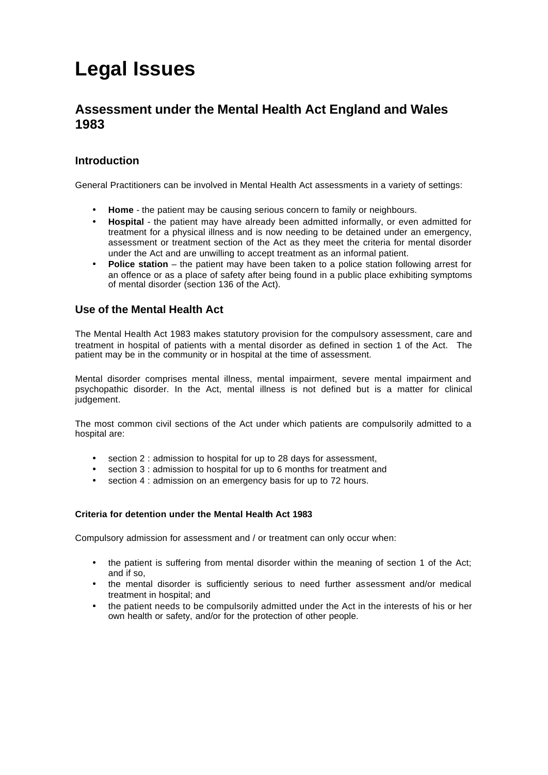# **Legal Issues**

# **Assessment under the Mental Health Act England and Wales 1983**

# **Introduction**

General Practitioners can be involved in Mental Health Act assessments in a variety of settings:

- **Home** the patient may be causing serious concern to family or neighbours.
- **Hospital**  the patient may have already been admitted informally, or even admitted for treatment for a physical illness and is now needing to be detained under an emergency, assessment or treatment section of the Act as they meet the criteria for mental disorder under the Act and are unwilling to accept treatment as an informal patient.
- **Police station** the patient may have been taken to a police station following arrest for an offence or as a place of safety after being found in a public place exhibiting symptoms of mental disorder (section 136 of the Act).

# **Use of the Mental Health Act**

The Mental Health Act 1983 makes statutory provision for the compulsory assessment, care and treatment in hospital of patients with a mental disorder as defined in section 1 of the Act. The patient may be in the community or in hospital at the time of assessment.

Mental disorder comprises mental illness, mental impairment, severe mental impairment and psychopathic disorder. In the Act, mental illness is not defined but is a matter for clinical judgement.

The most common civil sections of the Act under which patients are compulsorily admitted to a hospital are:

- section 2 : admission to hospital for up to 28 days for assessment,
- section 3 : admission to hospital for up to 6 months for treatment and
- section 4 : admission on an emergency basis for up to 72 hours.

#### **Criteria for detention under the Mental Health Act 1983**

Compulsory admission for assessment and / or treatment can only occur when:

- the patient is suffering from mental disorder within the meaning of section 1 of the Act; and if so,
- the mental disorder is sufficiently serious to need further assessment and/or medical treatment in hospital; and
- the patient needs to be compulsorily admitted under the Act in the interests of his or her own health or safety, and/or for the protection of other people.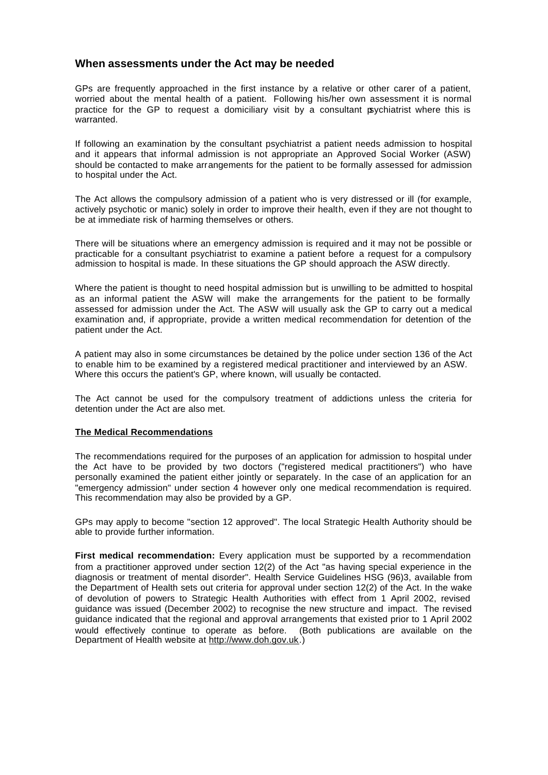## **When assessments under the Act may be needed**

GPs are frequently approached in the first instance by a relative or other carer of a patient, worried about the mental health of a patient. Following his/her own assessment it is normal practice for the GP to request a domiciliary visit by a consultant psychiatrist where this is warranted.

If following an examination by the consultant psychiatrist a patient needs admission to hospital and it appears that informal admission is not appropriate an Approved Social Worker (ASW) should be contacted to make arrangements for the patient to be formally assessed for admission to hospital under the Act.

The Act allows the compulsory admission of a patient who is very distressed or ill (for example, actively psychotic or manic) solely in order to improve their health, even if they are not thought to be at immediate risk of harming themselves or others.

There will be situations where an emergency admission is required and it may not be possible or practicable for a consultant psychiatrist to examine a patient before a request for a compulsory admission to hospital is made. In these situations the GP should approach the ASW directly.

Where the patient is thought to need hospital admission but is unwilling to be admitted to hospital as an informal patient the ASW will make the arrangements for the patient to be formally assessed for admission under the Act. The ASW will usually ask the GP to carry out a medical examination and, if appropriate, provide a written medical recommendation for detention of the patient under the Act.

A patient may also in some circumstances be detained by the police under section 136 of the Act to enable him to be examined by a registered medical practitioner and interviewed by an ASW. Where this occurs the patient's GP, where known, will usually be contacted.

The Act cannot be used for the compulsory treatment of addictions unless the criteria for detention under the Act are also met.

#### **The Medical Recommendations**

The recommendations required for the purposes of an application for admission to hospital under the Act have to be provided by two doctors ("registered medical practitioners") who have personally examined the patient either jointly or separately. In the case of an application for an "emergency admission" under section 4 however only one medical recommendation is required. This recommendation may also be provided by a GP.

GPs may apply to become "section 12 approved". The local Strategic Health Authority should be able to provide further information.

**First medical recommendation:** Every application must be supported by a recommendation from a practitioner approved under section 12(2) of the Act "as having special experience in the diagnosis or treatment of mental disorder". Health Service Guidelines HSG (96)3, available from the Department of Health sets out criteria for approval under section 12(2) of the Act. In the wake of devolution of powers to Strategic Health Authorities with effect from 1 April 2002, revised guidance was issued (December 2002) to recognise the new structure and impact. The revised guidance indicated that the regional and approval arrangements that existed prior to 1 April 2002 would effectively continue to operate as before. (Both publications are available on the Department of Health website at http://www.doh.gov.uk.)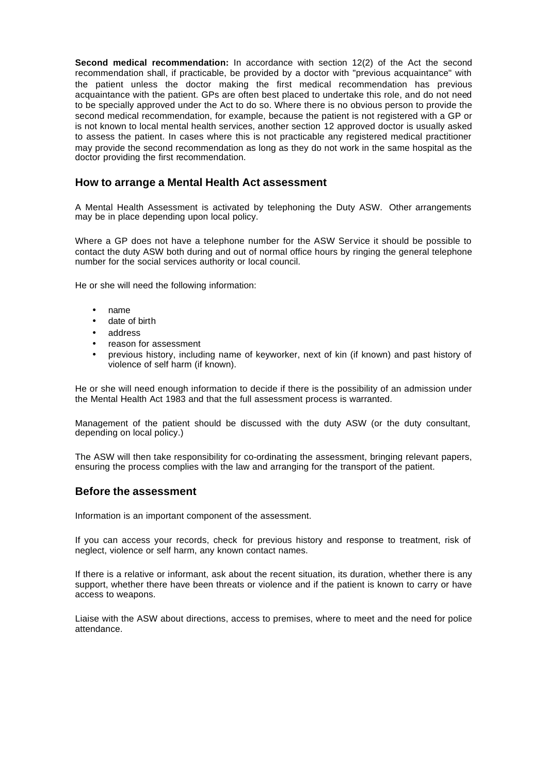**Second medical recommendation:** In accordance with section 12(2) of the Act the second recommendation shall, if practicable, be provided by a doctor with "previous acquaintance" with the patient unless the doctor making the first medical recommendation has previous acquaintance with the patient. GPs are often best placed to undertake this role, and do not need to be specially approved under the Act to do so. Where there is no obvious person to provide the second medical recommendation, for example, because the patient is not registered with a GP or is not known to local mental health services, another section 12 approved doctor is usually asked to assess the patient. In cases where this is not practicable any registered medical practitioner may provide the second recommendation as long as they do not work in the same hospital as the doctor providing the first recommendation.

# **How to arrange a Mental Health Act assessment**

A Mental Health Assessment is activated by telephoning the Duty ASW. Other arrangements may be in place depending upon local policy.

Where a GP does not have a telephone number for the ASW Service it should be possible to contact the duty ASW both during and out of normal office hours by ringing the general telephone number for the social services authority or local council.

He or she will need the following information:

- name
- date of birth
- address
- reason for assessment
- previous history, including name of keyworker, next of kin (if known) and past history of violence of self harm (if known).

He or she will need enough information to decide if there is the possibility of an admission under the Mental Health Act 1983 and that the full assessment process is warranted.

Management of the patient should be discussed with the duty ASW (or the duty consultant, depending on local policy.)

The ASW will then take responsibility for co-ordinating the assessment, bringing relevant papers, ensuring the process complies with the law and arranging for the transport of the patient.

#### **Before the assessment**

Information is an important component of the assessment.

If you can access your records, check for previous history and response to treatment, risk of neglect, violence or self harm, any known contact names.

If there is a relative or informant, ask about the recent situation, its duration, whether there is any support, whether there have been threats or violence and if the patient is known to carry or have access to weapons.

Liaise with the ASW about directions, access to premises, where to meet and the need for police attendance.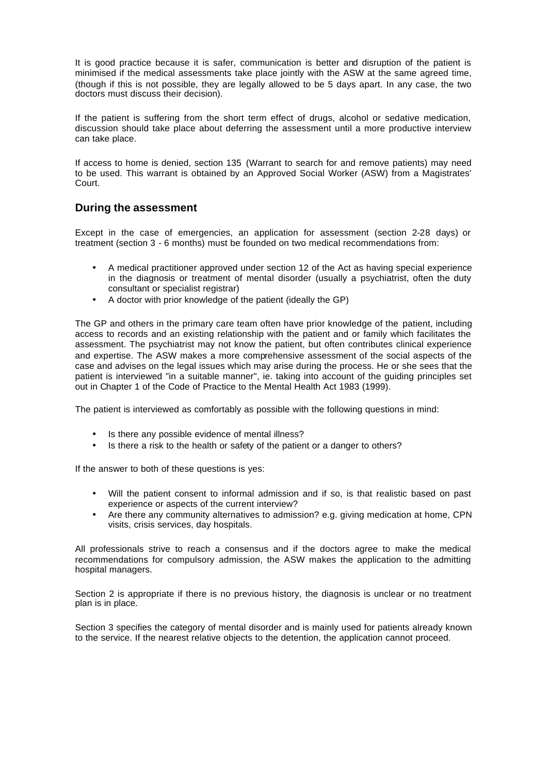It is good practice because it is safer, communication is better and disruption of the patient is minimised if the medical assessments take place jointly with the ASW at the same agreed time, (though if this is not possible, they are legally allowed to be 5 days apart. In any case, the two doctors must discuss their decision).

If the patient is suffering from the short term effect of drugs, alcohol or sedative medication, discussion should take place about deferring the assessment until a more productive interview can take place.

If access to home is denied, section 135 (Warrant to search for and remove patients) may need to be used. This warrant is obtained by an Approved Social Worker (ASW) from a Magistrates' Court.

# **During the assessment**

Except in the case of emergencies, an application for assessment (section 2-28 days) or treatment (section 3 - 6 months) must be founded on two medical recommendations from:

- A medical practitioner approved under section 12 of the Act as having special experience in the diagnosis or treatment of mental disorder (usually a psychiatrist, often the duty consultant or specialist registrar)
- A doctor with prior knowledge of the patient (ideally the GP)

The GP and others in the primary care team often have prior knowledge of the patient, including access to records and an existing relationship with the patient and or family which facilitates the assessment. The psychiatrist may not know the patient, but often contributes clinical experience and expertise. The ASW makes a more comprehensive assessment of the social aspects of the case and advises on the legal issues which may arise during the process. He or she sees that the patient is interviewed "in a suitable manner", ie. taking into account of the guiding principles set out in Chapter 1 of the Code of Practice to the Mental Health Act 1983 (1999).

The patient is interviewed as comfortably as possible with the following questions in mind:

- Is there any possible evidence of mental illness?
- Is there a risk to the health or safety of the patient or a danger to others?

If the answer to both of these questions is yes:

- Will the patient consent to informal admission and if so, is that realistic based on past experience or aspects of the current interview?
- Are there any community alternatives to admission? e.g. giving medication at home, CPN visits, crisis services, day hospitals.

All professionals strive to reach a consensus and if the doctors agree to make the medical recommendations for compulsory admission, the ASW makes the application to the admitting hospital managers.

Section 2 is appropriate if there is no previous history, the diagnosis is unclear or no treatment plan is in place.

Section 3 specifies the category of mental disorder and is mainly used for patients already known to the service. If the nearest relative objects to the detention, the application cannot proceed.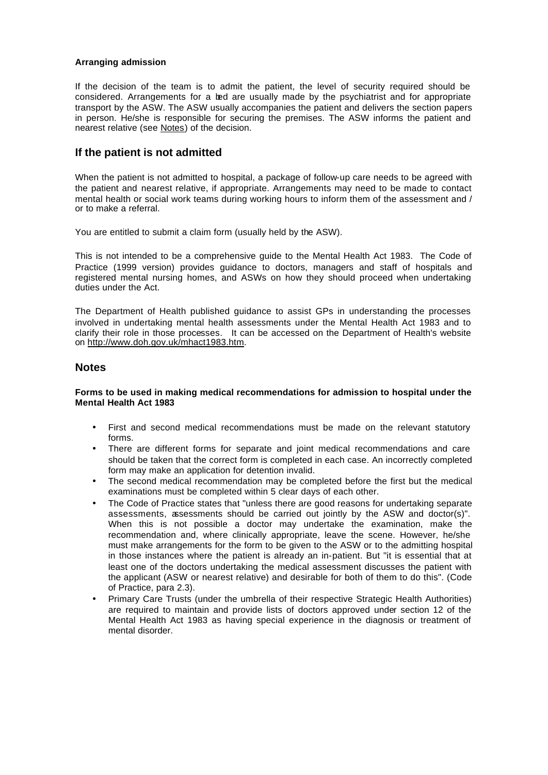#### **Arranging admission**

If the decision of the team is to admit the patient, the level of security required should be considered. Arrangements for a bed are usually made by the psychiatrist and for appropriate transport by the ASW. The ASW usually accompanies the patient and delivers the section papers in person. He/she is responsible for securing the premises. The ASW informs the patient and nearest relative (see Notes) of the decision.

# **If the patient is not admitted**

When the patient is not admitted to hospital, a package of follow-up care needs to be agreed with the patient and nearest relative, if appropriate. Arrangements may need to be made to contact mental health or social work teams during working hours to inform them of the assessment and / or to make a referral.

You are entitled to submit a claim form (usually held by the ASW).

This is not intended to be a comprehensive guide to the Mental Health Act 1983. The Code of Practice (1999 version) provides guidance to doctors, managers and staff of hospitals and registered mental nursing homes, and ASWs on how they should proceed when undertaking duties under the Act.

The Department of Health published guidance to assist GPs in understanding the processes involved in undertaking mental health assessments under the Mental Health Act 1983 and to clarify their role in those processes. It can be accessed on the Department of Health's website on http://www.doh.gov.uk/mhact1983.htm.

#### **Notes**

#### **Forms to be used in making medical recommendations for admission to hospital under the Mental Health Act 1983**

- First and second medical recommendations must be made on the relevant statutory forms.
- There are different forms for separate and joint medical recommendations and care should be taken that the correct form is completed in each case. An incorrectly completed form may make an application for detention invalid.
- The second medical recommendation may be completed before the first but the medical examinations must be completed within 5 clear days of each other.
- The Code of Practice states that "unless there are good reasons for undertaking separate assessments, assessments should be carried out jointly by the ASW and doctor(s)". When this is not possible a doctor may undertake the examination, make the recommendation and, where clinically appropriate, leave the scene. However, he/she must make arrangements for the form to be given to the ASW or to the admitting hospital in those instances where the patient is already an in-patient. But "it is essential that at least one of the doctors undertaking the medical assessment discusses the patient with the applicant (ASW or nearest relative) and desirable for both of them to do this". (Code of Practice, para 2.3).
- Primary Care Trusts (under the umbrella of their respective Strategic Health Authorities) are required to maintain and provide lists of doctors approved under section 12 of the Mental Health Act 1983 as having special experience in the diagnosis or treatment of mental disorder.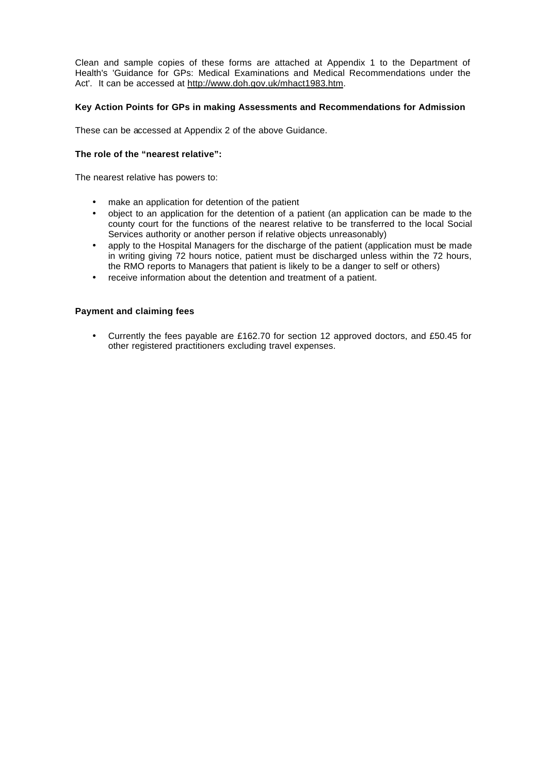Clean and sample copies of these forms are attached at Appendix 1 to the Department of Health's 'Guidance for GPs: Medical Examinations and Medical Recommendations under the Act'. It can be accessed at http://www.doh.gov.uk/mhact1983.htm.

#### **Key Action Points for GPs in making Assessments and Recommendations for Admission**

These can be accessed at Appendix 2 of the above Guidance.

#### **The role of the "nearest relative":**

The nearest relative has powers to:

- make an application for detention of the patient
- object to an application for the detention of a patient (an application can be made to the county court for the functions of the nearest relative to be transferred to the local Social Services authority or another person if relative objects unreasonably)
- apply to the Hospital Managers for the discharge of the patient (application must be made in writing giving 72 hours notice, patient must be discharged unless within the 72 hours, the RMO reports to Managers that patient is likely to be a danger to self or others)
- receive information about the detention and treatment of a patient.

#### **Payment and claiming fees**

• Currently the fees payable are £162.70 for section 12 approved doctors, and £50.45 for other registered practitioners excluding travel expenses.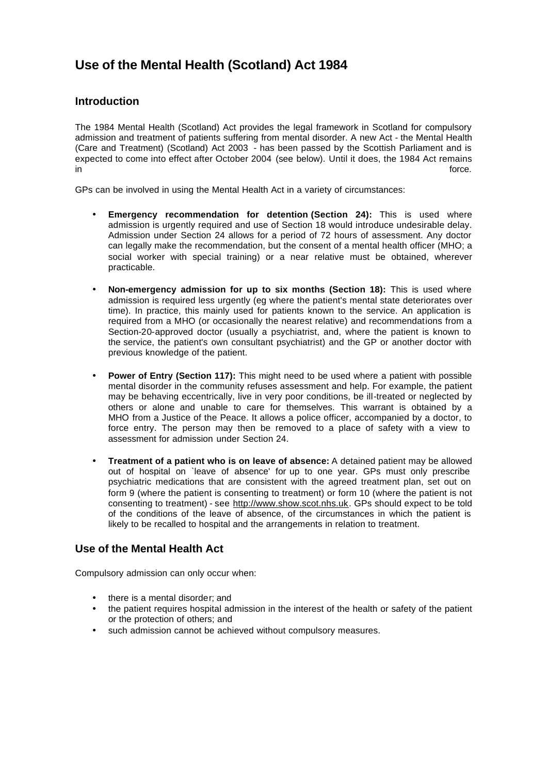# **Use of the Mental Health (Scotland) Act 1984**

# **Introduction**

The 1984 Mental Health (Scotland) Act provides the legal framework in Scotland for compulsory admission and treatment of patients suffering from mental disorder. A new Act - the Mental Health (Care and Treatment) (Scotland) Act 2003 - has been passed by the Scottish Parliament and is expected to come into effect after October 2004 (see below). Until it does, the 1984 Act remains in force. The contract of the contract of the contract of the contract of the contract of the contract of the contract of the contract of the contract of the contract of the contract of the contract of the contract of the

GPs can be involved in using the Mental Health Act in a variety of circumstances:

- **Emergency recommendation for detention (Section 24):** This is used where admission is urgently required and use of Section 18 would introduce undesirable delay. Admission under Section 24 allows for a period of 72 hours of assessment. Any doctor can legally make the recommendation, but the consent of a mental health officer (MHO; a social worker with special training) or a near relative must be obtained, wherever practicable.
- **Non-emergency admission for up to six months (Section 18):** This is used where admission is required less urgently (eg where the patient's mental state deteriorates over time). In practice, this mainly used for patients known to the service. An application is required from a MHO (or occasionally the nearest relative) and recommendations from a Section-20-approved doctor (usually a psychiatrist, and, where the patient is known to the service, the patient's own consultant psychiatrist) and the GP or another doctor with previous knowledge of the patient.
- **Power of Entry (Section 117):** This might need to be used where a patient with possible mental disorder in the community refuses assessment and help. For example, the patient may be behaving eccentrically, live in very poor conditions, be ill-treated or neglected by others or alone and unable to care for themselves. This warrant is obtained by a MHO from a Justice of the Peace. It allows a police officer, accompanied by a doctor, to force entry. The person may then be removed to a place of safety with a view to assessment for admission under Section 24.
- **Treatment of a patient who is on leave of absence:** A detained patient may be allowed out of hospital on `leave of absence' for up to one year. GPs must only prescribe psychiatric medications that are consistent with the agreed treatment plan, set out on form 9 (where the patient is consenting to treatment) or form 10 (where the patient is not consenting to treatment) - see http://www.show.scot.nhs.uk. GPs should expect to be told of the conditions of the leave of absence, of the circumstances in which the patient is likely to be recalled to hospital and the arrangements in relation to treatment.

# **Use of the Mental Health Act**

Compulsory admission can only occur when:

- there is a mental disorder; and
- the patient requires hospital admission in the interest of the health or safety of the patient or the protection of others; and
- such admission cannot be achieved without compulsory measures.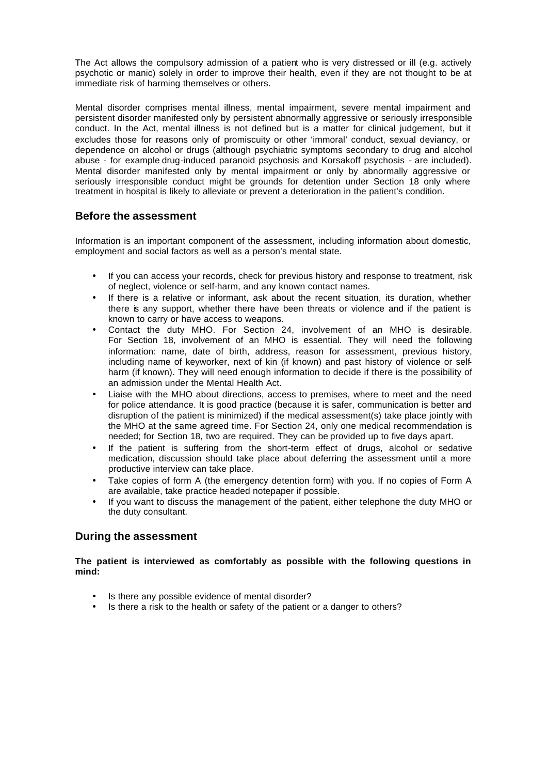The Act allows the compulsory admission of a patient who is very distressed or ill (e.g. actively psychotic or manic) solely in order to improve their health, even if they are not thought to be at immediate risk of harming themselves or others.

Mental disorder comprises mental illness, mental impairment, severe mental impairment and persistent disorder manifested only by persistent abnormally aggressive or seriously irresponsible conduct. In the Act, mental illness is not defined but is a matter for clinical judgement, but it excludes those for reasons only of promiscuity or other 'immoral' conduct, sexual deviancy, or dependence on alcohol or drugs (although psychiatric symptoms secondary to drug and alcohol abuse - for example drug-induced paranoid psychosis and Korsakoff psychosis - are included). Mental disorder manifested only by mental impairment or only by abnormally aggressive or seriously irresponsible conduct might be grounds for detention under Section 18 only where treatment in hospital is likely to alleviate or prevent a deterioration in the patient's condition.

# **Before the assessment**

Information is an important component of the assessment, including information about domestic, employment and social factors as well as a person's mental state.

- If you can access your records, check for previous history and response to treatment, risk of neglect, violence or self-harm, and any known contact names.
- If there is a relative or informant, ask about the recent situation, its duration, whether there is any support, whether there have been threats or violence and if the patient is known to carry or have access to weapons.
- Contact the duty MHO. For Section 24, involvement of an MHO is desirable. For Section 18, involvement of an MHO is essential. They will need the following information: name, date of birth, address, reason for assessment, previous history, including name of keyworker, next of kin (if known) and past history of violence or selfharm (if known). They will need enough information to decide if there is the possibility of an admission under the Mental Health Act.
- Liaise with the MHO about directions, access to premises, where to meet and the need for police attendance. It is good practice (because it is safer, communication is better and disruption of the patient is minimized) if the medical assessment(s) take place jointly with the MHO at the same agreed time. For Section 24, only one medical recommendation is needed; for Section 18, two are required. They can be provided up to five days apart.
- If the patient is suffering from the short-term effect of drugs, alcohol or sedative medication, discussion should take place about deferring the assessment until a more productive interview can take place.
- Take copies of form A (the emergency detention form) with you. If no copies of Form A are available, take practice headed notepaper if possible.
- If you want to discuss the management of the patient, either telephone the duty MHO or the duty consultant.

# **During the assessment**

#### **The patient is interviewed as comfortably as possible with the following questions in mind:**

- Is there any possible evidence of mental disorder?
- Is there a risk to the health or safety of the patient or a danger to others?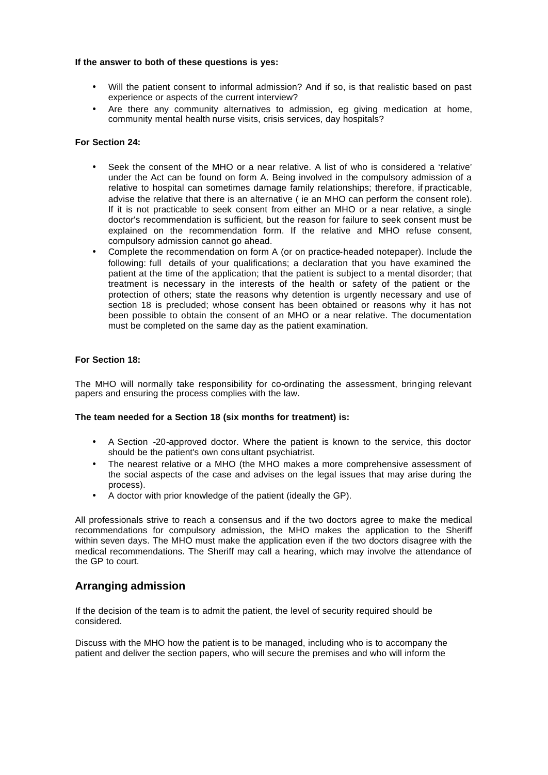#### **If the answer to both of these questions is yes:**

- Will the patient consent to informal admission? And if so, is that realistic based on past experience or aspects of the current interview?
- Are there any community alternatives to admission, eg giving medication at home, community mental health nurse visits, crisis services, day hospitals?

#### **For Section 24:**

- Seek the consent of the MHO or a near relative. A list of who is considered a 'relative' under the Act can be found on form A. Being involved in the compulsory admission of a relative to hospital can sometimes damage family relationships; therefore, if practicable, advise the relative that there is an alternative ( ie an MHO can perform the consent role). If it is not practicable to seek consent from either an MHO or a near relative, a single doctor's recommendation is sufficient, but the reason for failure to seek consent must be explained on the recommendation form. If the relative and MHO refuse consent, compulsory admission cannot go ahead.
- Complete the recommendation on form A (or on practice-headed notepaper). Include the following: full details of your qualifications; a declaration that you have examined the patient at the time of the application; that the patient is subject to a mental disorder; that treatment is necessary in the interests of the health or safety of the patient or the protection of others; state the reasons why detention is urgently necessary and use of section 18 is precluded; whose consent has been obtained or reasons why it has not been possible to obtain the consent of an MHO or a near relative. The documentation must be completed on the same day as the patient examination.

#### **For Section 18:**

The MHO will normally take responsibility for co-ordinating the assessment, bringing relevant papers and ensuring the process complies with the law.

#### **The team needed for a Section 18 (six months for treatment) is:**

- A Section -20-approved doctor. Where the patient is known to the service, this doctor should be the patient's own cons ultant psychiatrist.
- The nearest relative or a MHO (the MHO makes a more comprehensive assessment of the social aspects of the case and advises on the legal issues that may arise during the process).
- A doctor with prior knowledge of the patient (ideally the GP).

All professionals strive to reach a consensus and if the two doctors agree to make the medical recommendations for compulsory admission, the MHO makes the application to the Sheriff within seven days. The MHO must make the application even if the two doctors disagree with the medical recommendations. The Sheriff may call a hearing, which may involve the attendance of the GP to court.

#### **Arranging admission**

If the decision of the team is to admit the patient, the level of security required should be considered.

Discuss with the MHO how the patient is to be managed, including who is to accompany the patient and deliver the section papers, who will secure the premises and who will inform the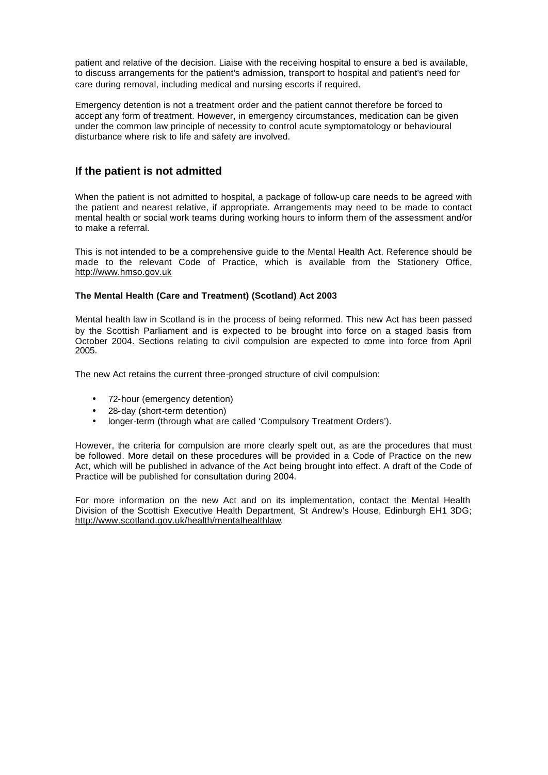patient and relative of the decision. Liaise with the receiving hospital to ensure a bed is available, to discuss arrangements for the patient's admission, transport to hospital and patient's need for care during removal, including medical and nursing escorts if required.

Emergency detention is not a treatment order and the patient cannot therefore be forced to accept any form of treatment. However, in emergency circumstances, medication can be given under the common law principle of necessity to control acute symptomatology or behavioural disturbance where risk to life and safety are involved.

# **If the patient is not admitted**

When the patient is not admitted to hospital, a package of follow-up care needs to be agreed with the patient and nearest relative, if appropriate. Arrangements may need to be made to contact mental health or social work teams during working hours to inform them of the assessment and/or to make a referral.

This is not intended to be a comprehensive guide to the Mental Health Act. Reference should be made to the relevant Code of Practice, which is available from the Stationery Office, http://www.hmso.gov.uk

#### **The Mental Health (Care and Treatment) (Scotland) Act 2003**

Mental health law in Scotland is in the process of being reformed. This new Act has been passed by the Scottish Parliament and is expected to be brought into force on a staged basis from October 2004. Sections relating to civil compulsion are expected to come into force from April 2005.

The new Act retains the current three-pronged structure of civil compulsion:

- 72-hour (emergency detention)
- 28-day (short-term detention)
- longer-term (through what are called 'Compulsory Treatment Orders').

However, the criteria for compulsion are more clearly spelt out, as are the procedures that must be followed. More detail on these procedures will be provided in a Code of Practice on the new Act, which will be published in advance of the Act being brought into effect. A draft of the Code of Practice will be published for consultation during 2004.

For more information on the new Act and on its implementation, contact the Mental Health Division of the Scottish Executive Health Department, St Andrew's House, Edinburgh EH1 3DG; http://www.scotland.gov.uk/health/mentalhealthlaw.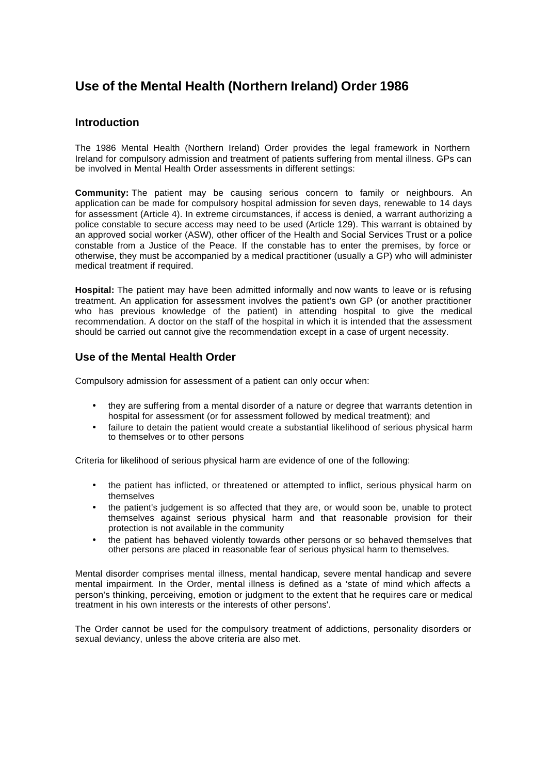# **Use of the Mental Health (Northern Ireland) Order 1986**

# **Introduction**

The 1986 Mental Health (Northern Ireland) Order provides the legal framework in Northern Ireland for compulsory admission and treatment of patients suffering from mental illness. GPs can be involved in Mental Health Order assessments in different settings:

**Community:** The patient may be causing serious concern to family or neighbours. An application can be made for compulsory hospital admission for seven days, renewable to 14 days for assessment (Article 4). In extreme circumstances, if access is denied, a warrant authorizing a police constable to secure access may need to be used (Article 129). This warrant is obtained by an approved social worker (ASW), other officer of the Health and Social Services Trust or a police constable from a Justice of the Peace. If the constable has to enter the premises, by force or otherwise, they must be accompanied by a medical practitioner (usually a GP) who will administer medical treatment if required.

**Hospital:** The patient may have been admitted informally and now wants to leave or is refusing treatment. An application for assessment involves the patient's own GP (or another practitioner who has previous knowledge of the patient) in attending hospital to give the medical recommendation. A doctor on the staff of the hospital in which it is intended that the assessment should be carried out cannot give the recommendation except in a case of urgent necessity.

# **Use of the Mental Health Order**

Compulsory admission for assessment of a patient can only occur when:

- they are suffering from a mental disorder of a nature or degree that warrants detention in hospital for assessment (or for assessment followed by medical treatment); and
- failure to detain the patient would create a substantial likelihood of serious physical harm to themselves or to other persons

Criteria for likelihood of serious physical harm are evidence of one of the following:

- the patient has inflicted, or threatened or attempted to inflict, serious physical harm on themselves
- the patient's judgement is so affected that they are, or would soon be, unable to protect themselves against serious physical harm and that reasonable provision for their protection is not available in the community
- the patient has behaved violently towards other persons or so behaved themselves that other persons are placed in reasonable fear of serious physical harm to themselves.

Mental disorder comprises mental illness, mental handicap, severe mental handicap and severe mental impairment. In the Order, mental illness is defined as a 'state of mind which affects a person's thinking, perceiving, emotion or judgment to the extent that he requires care or medical treatment in his own interests or the interests of other persons'.

The Order cannot be used for the compulsory treatment of addictions, personality disorders or sexual deviancy, unless the above criteria are also met.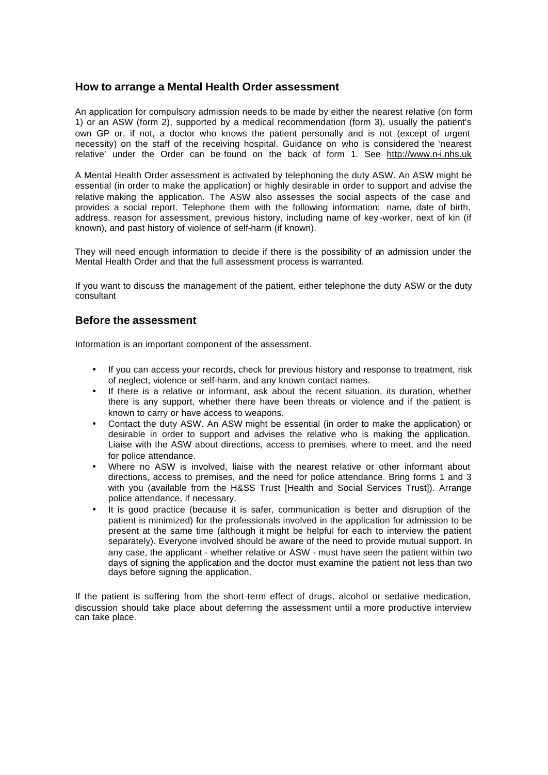## **How to arrange a Mental Health Order assessment**

An application for compulsory admission needs to be made by either the nearest relative (on form 1) or an ASW (form 2), supported by a medical recommendation (form 3), usually the patient's own GP or, if not, a doctor who knows the patient personally and is not (except of urgent necessity) on the staff of the receiving hospital. Guidance on who is considered the 'nearest relative' under the Order can be found on the back of form 1. See http://www.n-i.nhs.uk

A Mental Health Order assessment is activated by telephoning the duty ASW. An ASW might be essential (in order to make the application) or highly desirable in order to support and advise the relative making the application. The ASW also assesses the social aspects of the case and provides a social report. Telephone them with the following information: name, date of birth, address, reason for assessment, previous history, including name of key -worker, next of kin (if known), and past history of violence of self-harm (if known).

They will need enough information to decide if there is the possibility of an admission under the Mental Health Order and that the full assessment process is warranted.

If you want to discuss the management of the patient, either telephone the duty ASW or the duty consultant

## **Before the assessment**

Information is an important component of the assessment.

- If you can access your records, check for previous history and response to treatment, risk of neglect, violence or self-harm, and any known contact names.
- If there is a relative or informant, ask about the recent situation, its duration, whether there is any support, whether there have been threats or violence and if the patient is known to carry or have access to weapons.
- Contact the duty ASW. An ASW might be essential (in order to make the application) or desirable in order to support and advises the relative who is making the application. Liaise with the ASW about directions, access to premises, where to meet, and the need for police attendance.
- Where no ASW is involved, liaise with the nearest relative or other informant about directions, access to premises, and the need for police attendance. Bring forms 1 and 3 with you (available from the H&SS Trust [Health and Social Services Trust]). Arrange police attendance, if necessary.
- It is good practice (because it is safer, communication is better and disruption of the patient is minimized) for the professionals involved in the application for admission to be present at the same time (although it might be helpful for each to interview the patient separately). Everyone involved should be aware of the need to provide mutual support. In any case, the applicant - whether relative or ASW - must have seen the patient within two days of signing the application and the doctor must examine the patient not less than two days before signing the application.

If the patient is suffering from the short-term effect of drugs, alcohol or sedative medication, discussion should take place about deferring the assessment until a more productive interview can take place.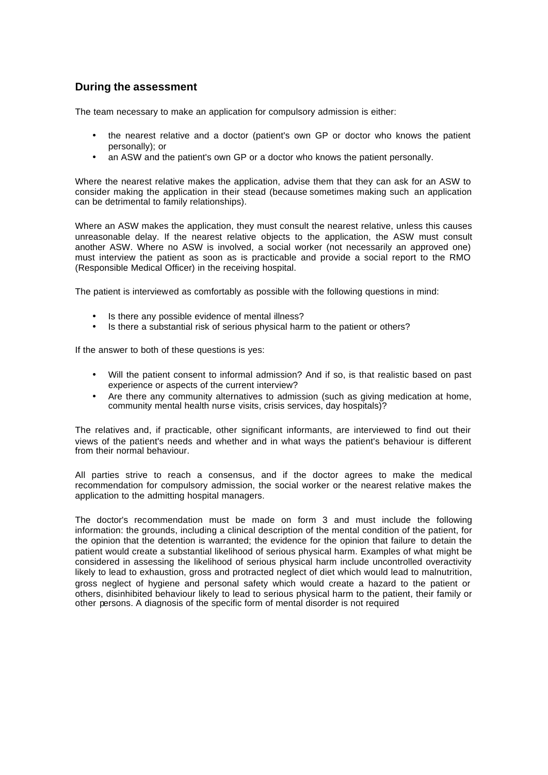# **During the assessment**

The team necessary to make an application for compulsory admission is either:

- the nearest relative and a doctor (patient's own GP or doctor who knows the patient personally); or
- an ASW and the patient's own GP or a doctor who knows the patient personally.

Where the nearest relative makes the application, advise them that they can ask for an ASW to consider making the application in their stead (because sometimes making such an application can be detrimental to family relationships).

Where an ASW makes the application, they must consult the nearest relative, unless this causes unreasonable delay. If the nearest relative objects to the application, the ASW must consult another ASW. Where no ASW is involved, a social worker (not necessarily an approved one) must interview the patient as soon as is practicable and provide a social report to the RMO (Responsible Medical Officer) in the receiving hospital.

The patient is interviewed as comfortably as possible with the following questions in mind:

- Is there any possible evidence of mental illness?
- Is there a substantial risk of serious physical harm to the patient or others?

If the answer to both of these questions is yes:

- Will the patient consent to informal admission? And if so, is that realistic based on past experience or aspects of the current interview?
- Are there any community alternatives to admission (such as giving medication at home, community mental health nurse visits, crisis services, day hospitals)?

The relatives and, if practicable, other significant informants, are interviewed to find out their views of the patient's needs and whether and in what ways the patient's behaviour is different from their normal behaviour.

All parties strive to reach a consensus, and if the doctor agrees to make the medical recommendation for compulsory admission, the social worker or the nearest relative makes the application to the admitting hospital managers.

The doctor's recommendation must be made on form 3 and must include the following information: the grounds, including a clinical description of the mental condition of the patient, for the opinion that the detention is warranted; the evidence for the opinion that failure to detain the patient would create a substantial likelihood of serious physical harm. Examples of what might be considered in assessing the likelihood of serious physical harm include uncontrolled overactivity likely to lead to exhaustion, gross and protracted neglect of diet which would lead to malnutrition, gross neglect of hygiene and personal safety which would create a hazard to the patient or others, disinhibited behaviour likely to lead to serious physical harm to the patient, their family or other persons. A diagnosis of the specific form of mental disorder is not required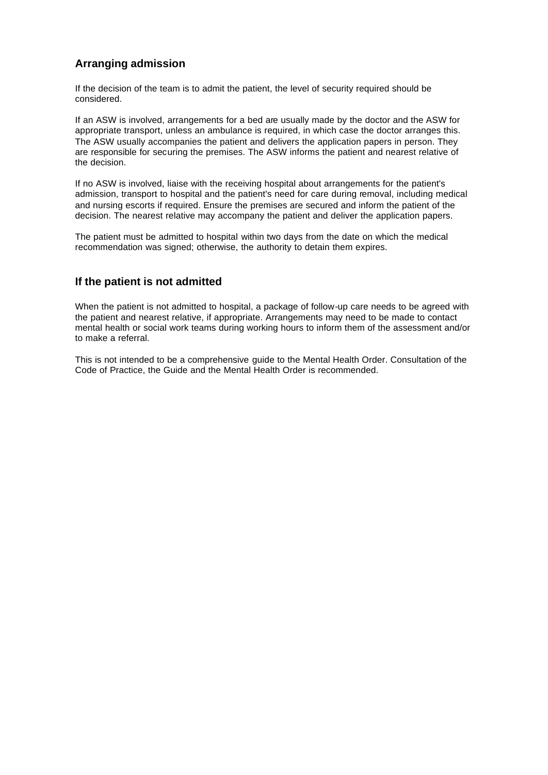# **Arranging admission**

If the decision of the team is to admit the patient, the level of security required should be considered.

If an ASW is involved, arrangements for a bed are usually made by the doctor and the ASW for appropriate transport, unless an ambulance is required, in which case the doctor arranges this. The ASW usually accompanies the patient and delivers the application papers in person. They are responsible for securing the premises. The ASW informs the patient and nearest relative of the decision.

If no ASW is involved, liaise with the receiving hospital about arrangements for the patient's admission, transport to hospital and the patient's need for care during removal, including medical and nursing escorts if required. Ensure the premises are secured and inform the patient of the decision. The nearest relative may accompany the patient and deliver the application papers.

The patient must be admitted to hospital within two days from the date on which the medical recommendation was signed; otherwise, the authority to detain them expires.

# **If the patient is not admitted**

When the patient is not admitted to hospital, a package of follow-up care needs to be agreed with the patient and nearest relative, if appropriate. Arrangements may need to be made to contact mental health or social work teams during working hours to inform them of the assessment and/or to make a referral.

This is not intended to be a comprehensive guide to the Mental Health Order. Consultation of the Code of Practice, the Guide and the Mental Health Order is recommended.